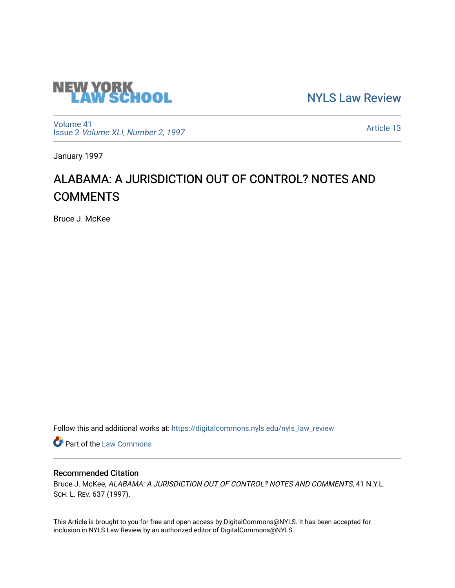

[NYLS Law Review](https://digitalcommons.nyls.edu/nyls_law_review) 

[Volume 41](https://digitalcommons.nyls.edu/nyls_law_review/vol41) Issue 2 [Volume XLI, Number 2, 1997](https://digitalcommons.nyls.edu/nyls_law_review/vol41/iss2)

[Article 13](https://digitalcommons.nyls.edu/nyls_law_review/vol41/iss2/13) 

January 1997

# ALABAMA: A JURISDICTION OUT OF CONTROL? NOTES AND **COMMENTS**

Bruce J. McKee

Follow this and additional works at: [https://digitalcommons.nyls.edu/nyls\\_law\\_review](https://digitalcommons.nyls.edu/nyls_law_review?utm_source=digitalcommons.nyls.edu%2Fnyls_law_review%2Fvol41%2Fiss2%2F13&utm_medium=PDF&utm_campaign=PDFCoverPages) 

**Part of the [Law Commons](https://network.bepress.com/hgg/discipline/578?utm_source=digitalcommons.nyls.edu%2Fnyls_law_review%2Fvol41%2Fiss2%2F13&utm_medium=PDF&utm_campaign=PDFCoverPages)** 

# Recommended Citation

Bruce J. McKee, ALABAMA: A JURISDICTION OUT OF CONTROL? NOTES AND COMMENTS, 41 N.Y.L. SCH. L. REV. 637 (1997).

This Article is brought to you for free and open access by DigitalCommons@NYLS. It has been accepted for inclusion in NYLS Law Review by an authorized editor of DigitalCommons@NYLS.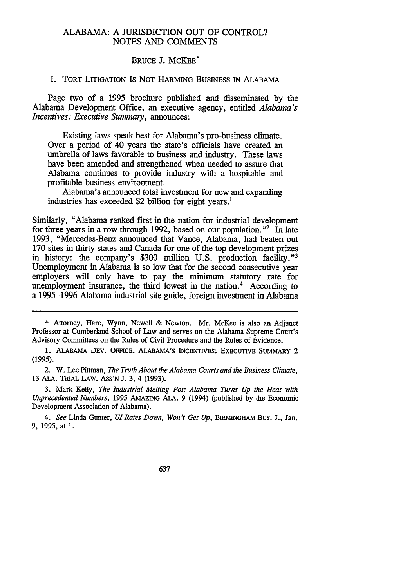#### ALABAMA: A JURISDICTION OUT OF CONTROL? NOTES AND COMMENTS

#### BRUCE J. McKEE\*

#### I. TORT LITIGATION IS NOT HARMING **BUSINESS** IN ALABAMA

Page two of a 1995 brochure published and disseminated by the Alabama Development Office, an executive agency, entitled *Alabama's Incentives: Executive Summary,* announces:

Existing laws speak best for Alabama's pro-business climate. Over a period of 40 years the state's officials have created an umbrella of laws favorable to business and industry. These laws have been amended and strengthened when needed to assure that Alabama continues to provide industry with a hospitable and profitable business environment.

Alabama's announced total investment for new and expanding industries has exceeded \$2 billion for eight years.<sup>1</sup>

Similarly, "Alabama ranked first in the nation for industrial development for three years in a row through 1992, based on our population.<sup>"2</sup> In late 1993, "Mercedes-Benz announced that Vance, Alabama, had beaten out 170 sites in thirty states and Canada for one of the top development prizes in history: the company's \$300 million U.S. production facility."<sup>3</sup> Unemployment in Alabama is so low that for the second consecutive year employers will only have to pay the minimum statutory rate for unemployment insurance, the third lowest in the nation.<sup>4</sup> According to a 1995-1996 Alabama industrial site guide, foreign investment in Alabama

\* Attorney, Hare, Wynn, Newell & Newton. Mr. McKee is also an Adjunct Professor at Cumberland School of Law and serves on the Alabama Supreme Court's Advisory Committees on the Rules of Civil Procedure and the Rules of Evidence.

**1.** ALABAMA DEv. OFFICE, ALABAMA'S INCENTIVES: EXECUTIVE SUMMARY 2 (1995).

2. W. Lee Pittman, *The Truth About the Alabama Courts and the Business Climate,* 13 ALA. TRIAL LAW. ASS'N J. 3, 4 (1993).

3. Mark Kelly, *The Industrial Melting Pot. Alabama Turns Up the Heat with Unprecedented Numbers,* 1995 AMAZING ALA. 9 (1994) (published by the Economic Development Association of Alabama).

*4. See* Linda Gunter, *UI Rates Down, Won't Get Up,* BIRMINGHAM Bus. J., Jan. **9,** 1995, at 1.

637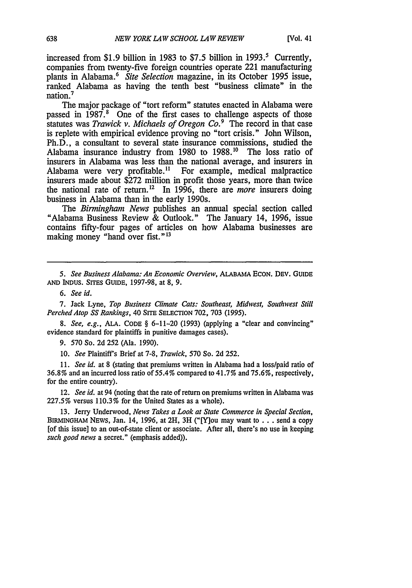increased from \$1.9 billion in 1983 to \$7.5 billion in 1993.<sup>5</sup> Currently, companies from twenty-five foreign countries operate 221 manufacturing plants in Alabama.' *Site Selection* magazine, in its October 1995 issue, ranked Alabama as having the tenth best "business climate" in the nation.<sup>7</sup>

The major package of "tort reform" statutes enacted in Alabama were passed in 1987.<sup>8</sup> One of the first cases to challenge aspects of those statutes was *Trawick v. Michaels of Oregon Co.9* The record in that case is replete with empirical evidence proving no "tort crisis." John Wilson, Ph.D., a consultant to several state insurance commissions, studied the Alabama insurance industry from 1980 to 1988.10 The loss ratio of insurers in Alabama was less than the national average, and insurers in Alabama were very profitable." For example, medical malpractice insurers made about \$272 million in profit those years, more than twice the national rate of return.'2 In 1996, there are *more* insurers doing business in Alabama than in the early 1990s.

*The Birmingham News* publishes an annual special section called "Alabama Business Review & Outlook." The January 14, 1996, issue contains fifty-four pages of articles on how Alabama businesses are making money "hand over fist."<sup>13</sup>

*5. See Business Alabama: An Economic Overview,* ALABAMA ECON. DEv. GUIDE **AND** INDUS. SITES GUIDE, 1997-98, at 8, 9.

7. Jack Lyne, *Top Business Climate Cats: Southeast, Midwest, Southwest Still Perched Atop SS Rankings,* 40 SITE SELECTION 702, 703 (1995).

*8. See, e.g.,* ALA. CODE § 6-11-20 (1993) (applying a "clear and convincing" evidence standard for plaintiffs in punitive damages cases).

9. 570 So. 2d 252 (Ala. 1990).

10. *See* Plaintiff's Brief at 7-8, *Trawick,* 570 So. 2d 252.

*11. See id.* at 8 (stating that premiums written in Alabama had a loss/paid ratio of 36.8% and an incurred loss ratio of 55.4% compared to 41.7% and 75.6%, respectively, for the entire country).

12. *See id.* at 94 (noting that the rate of return on premiums written in Alabama was 227.5% versus 110.3% for the United States as a whole).

13. Jerry Underwood, *News Takes a Look at State Commerce in Special Section,* BIRMINGHAM NEWs, Jan. 14, 1996, at 2H, 3H ("[Y]ou may want to ... send a copy [of this issue] to an out-of-state client or associate. After all, there's no use in keeping *such good news* a secret." (emphasis added)).

*<sup>6.</sup> See id.*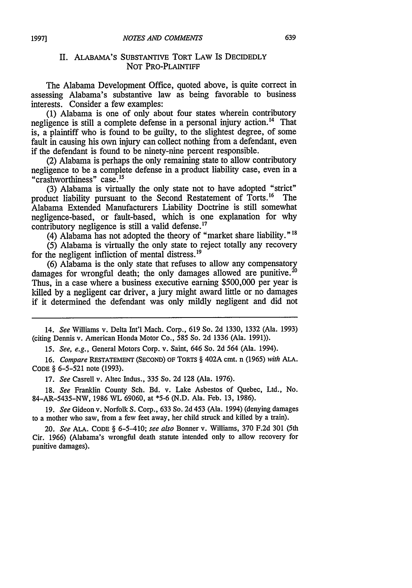## II. ALABAMA'S SUBSTANTIVE TORT LAW IS DECIDEDLY NOT PRO-PLAINTIFF

The Alabama Development Office, quoted above, is quite correct in assessing Alabama's substantive law as being favorable to business interests. Consider a few examples:

**(1)** Alabama is one of only about four states wherein contributory negligence is still a complete defense in a personal injury action.14 That is, a plaintiff who is found to be guilty, to the slightest degree, of some fault in causing his own injury can collect nothing from a defendant, even if the defendant is found to be ninety-nine percent responsible.

(2) Alabama is perhaps the only remaining state to allow contributory negligence to be a complete defense in a product liability case, even in a "crashworthiness" case.15

(3) Alabama is virtually the only state not to have adopted "strict" product liability pursuant to the Second Restatement of Torts.<sup>16</sup> The Alabama Extended Manufacturers Liability Doctrine is still somewhat negligence-based, or fault-based, which is one explanation for why contributory negligence is still a valid defense.<sup>17</sup>

(4) Alabama has not adopted the theory of "market share liability."

(5) Alabama is virtually the only state to reject totally any recovery for the negligent infliction of mental distress.'<sup>9</sup>

(6) Alabama is the only state that refuses to allow any compensatory damages for wrongful death; the only damages allowed are punitive.<sup>20</sup> Thus, in a case where a business executive earning \$500,000 per year is killed by a negligent car driver, a jury might award little or no damages if it determined the defendant was only mildly negligent and did not

14. *See* Williams v. Delta Int'l Mach. Corp., 619 So. 2d 1330, 1332 (Ala. 1993) (citing Dennis v. American Honda Motor Co., 585 So. 2d 1336 (Ala. 1991)).

*15. See, e.g.,* General Motors Corp. v. Saint, 646 So. 2d 564 (Ala. 1994).

16. *Compare* RESTATEMENT **(SECOND)** OF TORTS § 402A cmt. n (1965) *with* **ALA.** CODE § 6-5-521 note (1993).

17. *See* Casrell v. Altec Indus., 335 So. 2d 128 (Ala. 1976).

18. *See* Franklin County Sch. Bd. v. Lake Asbestos of Quebec, Ltd., No. 84-AR-5435-NW, 1986 WL 69060, at \*5-6 (N.D. Ala. Feb. 13, 1986).

19. *See* Gideon v. Norfolk S. Corp., 633 So. 2d 453 (Ala. 1994) (denying damages to a mother who saw, from a few feet away, her child struck and killed by a train).

20. *See* ALA. CODE § 6-5-410; *see also* Bonner v. Williams, 370 F.2d 301 (5th Cir. 1966) (Alabama's wrongful death statute intended only to allow recovery for punitive damages).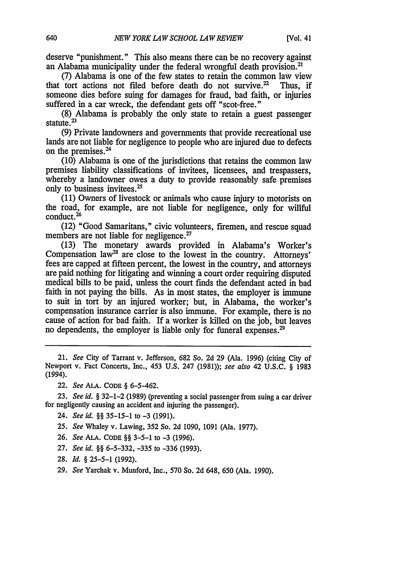deserve "punishment." This also means there can be no recovery against

an Alabama municipality under the federal wrongful death provision.<sup>21</sup> (7) Alabama is one of the few states to retain the common law view that tort actions not filed before death do not survive.<sup>22</sup> Thus. if that tort actions not filed before death do not survive.<sup> $22$ </sup> someone dies before suing for damages for fraud, bad faith, or injuries suffered in a car wreck, the defendant gets off "scot-free."

(8) Alabama is probably the only state to retain a guest passenger statute. $^{23}$ 

(9) Private landowners and governments that provide recreational use lands are not liable for negligence to people who are injured due to defects on the premises.24

(10) Alabama is one of the jurisdictions that retains the common law premises liability classifications of invitees, licensees, and trespassers, whereby a landowner owes a duty to provide reasonably safe premises only to business invitees.

(11) Owners of livestock or animals who cause injury to motorists on the road, for example, are not liable for negligence, only for willful conduct. <sup>26</sup>

(12) "Good Samaritans," civic volunteers, firemen, and rescue squad members are not liable for negligence.<sup>27</sup>

(13) The monetary awards provided in Alabama's Worker's Compensation law<sup>28</sup> are close to the lowest in the country. Attorneys' fees are capped at fifteen percent, the lowest in the country, and attorneys are paid nothing for litigating and winning a court order requiring disputed medical bills to be paid, unless the court finds the defendant acted in bad faith in not paying the bills. As in most states, the employer is immune to suit in tort by an injured worker; but, in Alabama, the worker's compensation insurance carrier is also immune. For example, there is no cause of action for bad faith. If a worker is killed on the job, but leaves no dependents, the employer is liable only for funeral expenses.<sup>29</sup>

21. *See* City of Tarrant v. Jefferson, 682 So. 2d 29 (Ala. 1996) (citing City of Newport v. Fact Concerts, Inc., 453 U.S. 247 (1981)); *see also* 42 U.S.C. § 1983 (1994).

22. *See* **ALA. CODE** § 6-5-462.

23. *See id.* § 32-1-2 (1989) (preventing a social passenger from suing a car driver for negligently causing an accident and injuring the passenger).

24. *See id. §§* 35-15-1 to -3 (1991),

25. *See* Whaley v. Lawing, 352 So. 2d 1090, 1091 (Ala. 1977).

26. *See* **ALA. CODE** §§ 3-5-1 to -3 (1996).

27. *See id.* §§ 6-5-332, -335 to -336 (1993).

28. *Id. §* 25-5-1 (1992).

29. *See* Yarchak v. Munford, Inc., 570 So. 2d 648, 650 (Ala. 1990).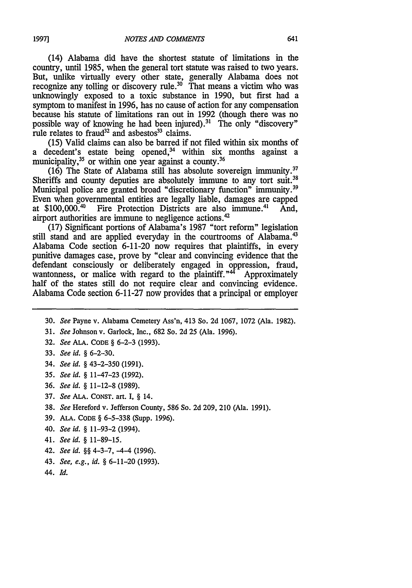(14) Alabama did have the shortest statute of limitations in the country, until 1985, when the general tort statute was raised to two years. But, unlike virtually every other state, generally Alabama does not recognize any tolling or discovery **rule.30** That means a victim who was unknowingly exposed to a toxic substance in 1990, but first had a symptom to manifest in 1996, has no cause of action for any compensation because his statute of limitations ran out in 1992 (though there was no possible way of knowing he had been injured).<sup>31</sup> The only "discovery" rule relates to fraud<sup>32</sup> and asbestos<sup>33</sup> claims.

(15) Valid claims can also be barred if not filed within six months of a decedent's estate being opened,<sup>34</sup> within six months against a municipality,<sup>35</sup> or within one year against a county.<sup>36</sup>

(16) The State of Alabama still has absolute sovereign immunity.37 Sheriffs and county deputies are absolutely immune to any tort suit.<sup>38</sup> Municipal police are granted broad "discretionary function" immunity.<sup>39</sup> Even when governmental entities are legally liable, damages are capped at  $$100.000$ .<sup>40</sup> Fire Protection Districts are also immune.<sup>41</sup> And. Fire Protection Districts are also immune.<sup>41</sup> And, airport authorities are immune to negligence actions.<sup>42</sup>

(17) Significant portions of Alabama's 1987 "tort reform" legislation still stand and are applied everyday in the courtrooms of Alabama.<sup>43</sup> Alabama Code section 6-11-20 now requires that plaintiffs, in every punitive damages case, prove by "clear and convincing evidence that the defendant consciously or deliberately engaged in oppression, fraud, wantonness, or malice with regard to the plaintiff. $14^2$  Approximately half of the states still do not require clear and convincing evidence. Alabama Code section 6-11-27 now provides that a principal or employer

- 30. *See* Payne v. Alabama Cemetery Ass'n, 413 So. **2d** 1067, **1072** (Ala. **1982).**
- **31.** *See* Johnson v. Garlock, Inc., 682 So. **2d** 25 (Ala. 1996).
- **32.** *See* **ALA. CODE** § 6-2-3 **(1993).**
- **33.** *See id. §* **6-2-30.**
- 34. *See id.* § 43-2-350 (1991).
- **35.** *See id.* § 11-47-23 **(1992).**
- 36. *See id.* § 11-12-8 (1989).
- **37.** *See* **ALA. CONST.** art. **I,** § 14.
- **38.** *See* Hereford **v.** Jefferson County, **586** So. **2d 209,** 210 (Ala. **1991).**
- **39. ALA. CODE** § **6-5-338** (Supp. **1996).**
- 40. *See id.* § **11-93-2** (1994).
- 41. *See* id. *§* 11-89-15.
- 42. *See id.* §§ 4-3-7, -4-4 (1996).
- 43. *See, e.g., id.* § 6-11-20 **(1993).**
- **44.** *Id.*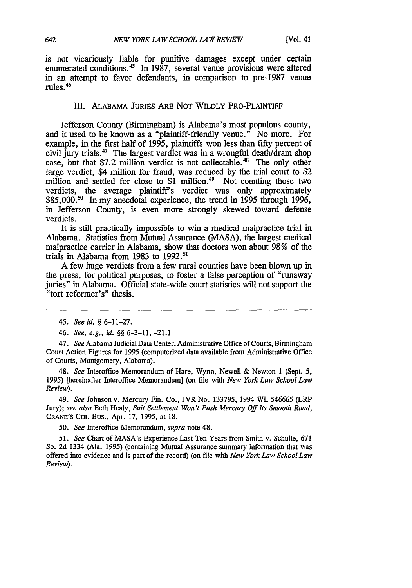is not vicariously liable for punitive damages except under certain enumerated conditions.<sup>45</sup> In 1987, several venue provisions were altered in an attempt to favor defendants, in comparison to pre-1987 venue rules. <sup>46</sup>

#### III. ALABAMA JURIES ARE NOT WILDLY PRO-PLAINTIFF

Jefferson County (Birmingham) is Alabama's most populous county, and it used to be known as a "plaintiff-friendly venue." No more. For example, in the first half of 1995, plaintiffs won less than fifty percent of civil jury trials.<sup>47</sup> The largest verdict was in a wrongful death/dram shop case, but that \$7.2 million verdict is not collectable.<sup>48</sup> The only other large verdict, \$4 million for fraud, was reduced by the trial court to \$2 million and settled for close to \$1 million.<sup>49</sup> Not counting those two verdicts, the average plaintiff's verdict was only approximately \$85,000.<sup>50</sup> In my anecdotal experience, the trend in 1995 through 1996, in Jefferson County, is even more strongly skewed toward defense verdicts.

It is still practically impossible to win a medical malpractice trial in Alabama. Statistics from Mutual Assurance (MASA), the largest medical malpractice carrier in Alabama, show that doctors won about 98% of the trials in Alabama from 1983 to 1992."'

A few huge verdicts from a few rural counties have been blown up in the press, for political purposes, to foster a false perception of "runaway juries" in Alabama. Official state-wide court statistics will not support the "tort reformer's" thesis.

*47. See* Alabama Judicial Data Center, Administrative Office of Courts, Birmingham Court Action Figures for 1995 (computerized data available from Administrative Office of Courts, Montgomery, Alabama).

48. *See* Interoffice Memorandum of Hare, Wynn, Newell & Newton 1 (Sept. *5,* 1995) [hereinafter Interoffice Memorandum] (on file with *New York Law School Law Review).*

*49. See* Johnson v. Mercury Fin. Co., JVR No. 133795, 1994 WL 546665 (LRP Jury); *see also* Beth Healy, *Suit Settlement Won't Push Mercury Off Its Smooth Road,* CRANE'S CHI. Bus., Apr. 17, 1995, at 18.

50. *See* Interoffice Memorandum, *supra* note 48.

*51. See* Chart of MASA's Experience Last Ten Years from Smith v. Schulte, 671 So. 2d 1334 (Ala. 1995) (containing Mutual Assurance summary information that was offered into evidence and is part of the record) (on file with *New York Law SchoolLaw Review).*

*<sup>45.</sup> See id.* § 6-11-27.

*<sup>46.</sup> See, e.g., id. §§* 6-3-11, -21.1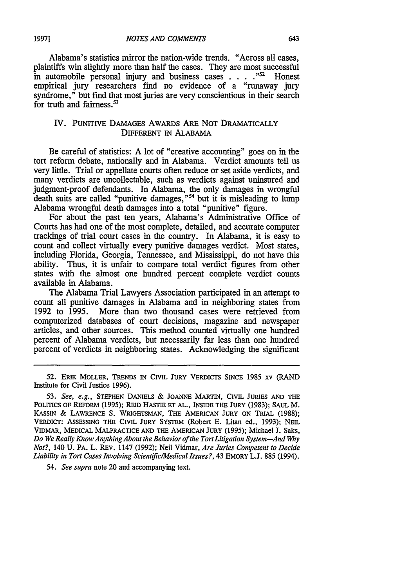Alabama's statistics mirror the nation-wide trends. "Across all cases, plaintiffs win slightly more than half the cases. They are most successful in automobile personal injury and business cases ... *,52* Honest empirical jury researchers find no evidence of a "runaway jury syndrome," but find that most juries are very conscientious in their search for truth and fairness.<sup>53</sup>

### IV. PUNITIVE DAMAGES AWARDS ARE NOT DRAMATICALLY DIFFERENT IN ALABAMA

Be careful of statistics: A lot of "creative accounting" goes on in the tort reform debate, nationally and in Alabama. Verdict amounts tell us very little. Trial or appellate courts often reduce or set aside verdicts, and many verdicts are uncollectable, such as verdicts against uninsured and judgment-proof defendants. In Alabama, the only damages in wrongful death suits are called "punitive damages,"<sup>54</sup> but it is misleading to lump Alabama wrongful death damages into a total "punitive" figure.

For about the past ten years, Alabama's Administrative Office of Courts has had one of the most complete, detailed, and accurate computer trackings of trial court cases in the country. In Alabama, it is easy to count and collect virtually every punitive damages verdict. Most states, including Florida, Georgia, Tennessee, and Mississippi, do not have this ability. Thus, it is unfair to compare total verdict figures from other states with the almost one hundred percent complete verdict counts available in Alabama.

The Alabama Trial Lawyers Association participated in an attempt to count all punitive damages in Alabama and in neighboring states from 1992 to 1995. More than two thousand cases were retrieved from computerized databases of court decisions, magazine and newspaper articles, and other sources. This method counted virtually one hundred percent of Alabama verdicts, but necessarily far less than one hundred percent of verdicts in neighboring states. Acknowledging the significant

52. ERIK MOLLER, TRENDS **IN** CIVIL **JURY** VERDICTS **SINCE** 1985 xv (RAND Institute for Civil Justice 1996).

53. *See, e.g.,* **STEPHEN DANIELS** & **JOANNE** MARTIN, CIVIL JURIES **AND THE POLITICS OF** REFORM (1995); REID HASTIE **ET AL.,** INSIDE **THE JURY** (1983); SAUL M. KASSIN & **LAWRENCE** S. VRIGHTSMAN, **THE AMERICAN JURY ON TRIAL** (1988); **VERDICT: ASSESSING THE CIVIL JURY SYSTEM** (Robert **E.** Litan ed., **1993); NEIL** VIDMAR, **MEDICAL** MALPRACTICE **AND** THE **AMERICAN JURY** (1995); Michael **J.** Saks, *Do We Really Know Anything About the Behavior of the TortLitigation System-And Why Not?,* 140 U. PA. L. REV. 1147 (1992); Neil Vidmar, *Are Juries Competent to Decide Liability in Tort Cases Involving Scientific/Medical Issues?,* 43 EMORY L.J. 885 (1994).

*54. See supra* note 20 and accompanying text.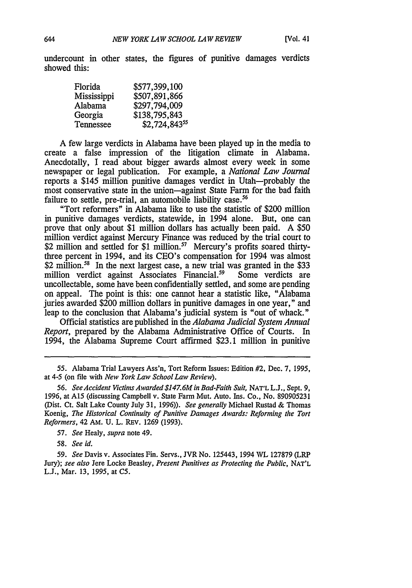undercount in other states, the figures of punitive damages verdicts showed this:

| Florida     | \$577,399,100 |
|-------------|---------------|
| Mississippi | \$507,891,866 |
| Alabama     | \$297,794,009 |
| Georgia     | \$138,795,843 |
| Tennessee   | \$2,724,84355 |

A few large verdicts in Alabama have been played up in the media to create a false impression of the litigation climate in Alabama. Anecdotally, I read about bigger awards almost every week in some newspaper or legal publication. For example, a *National Law Journal* reports a \$145 million punitive damages verdict in Utah-probably the most conservative state in the union-against State Farm for the bad faith failure to settle, pre-trial, an automobile liability case.<sup>56</sup>

"Tort reformers" in Alabama like to use the statistic of \$200 million in punitive damages verdicts, statewide, in 1994 alone. But, one can prove that only about \$1 million dollars has actually been paid. A \$50 million verdict against Mercury Finance was reduced by the trial court to \$2 million and settled for \$1 million.<sup>57</sup> Mercury's profits soared thirtythree percent in 1994, and its CEO's compensation for 1994 was almost \$2 million.<sup>58</sup> In the next largest case, a new trial was granted in the \$33 million verdict against Associates Financial.<sup>59</sup> Some verdicts are uncollectable, some have been confidentially settled, and some are pending on appeal. The point is this: one cannot hear a statistic like, "Alabama juries awarded \$200 million dollars in punitive damages in one year," and leap to the conclusion that Alabama's judicial system is "out of whack."

Official statistics are published in the *Alabama Judicial System Annual Report,* prepared by the Alabama Administrative Office of Courts. In 1994, the Alabama Supreme Court affirmed \$23.1 million in punitive

*57. See* Healy, *supra* note 49.

58. *See id.*

*59. See* Davis v. Associates Fin. Servs., JVR No. 125443, 1994 WL 127879 (LRP Jury); *see also* Jere Locke Beasley, *Present Punitives as Protecting the Public,* NAT'L L.J., Mar. 13, 1995, at **C5.**

<sup>55.</sup> Alabama Trial Lawyers Ass'n, Tort Reform Issues: Edition #2, Dec. 7, 1995, at 4-5 (on file with *New York Law School Law Review).*

*<sup>56.</sup> See Accident Victims Awarded \$14Z 6M in Bad-Faith Suit,* NAT'L L.J., Sept. 9, 1996, at A15 (discussing Campbell v. State Farm Mut. Auto. Ins. Co., No. 890905231 (Dist. Ct. Salt Lake County July 31, 1996)). *See generally* Michael Rustad & Thomas Koenig, *The Historical Continuity of Punitive Damages Awards: Reforming the Tort Reformers,* 42 AM. U. L. REV. 1269 (1993).